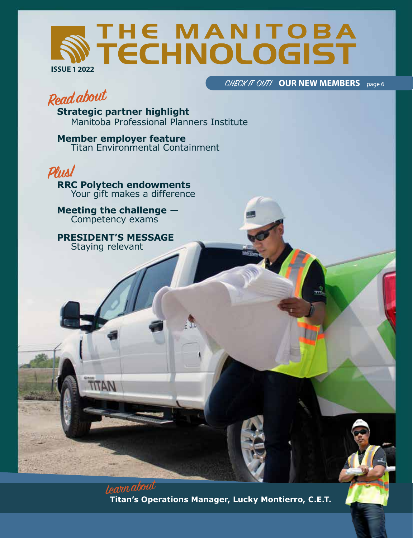# THE MANITOBA<br>TECHNOLOGIST **ISSUE 1 2022**

CHECK IT OUT! OUR NEW MEMBERS page 6

The Manitoba Technologist — issue 1 2022 | 1

# **Read about**

**Strategic partner highlight** Manitoba Professional Planners Institute

**Member employer feature** Titan Environmental Containment



**RRC Polytech endowments** Your gift makes a difference

**Meeting the challenge —** Competency exams

**PRESIDENT'S MESSAGE** Staying relevant

**MATIT** 

Learn about **Titan's Operations Manager, Lucky Montierro, C.E.T.**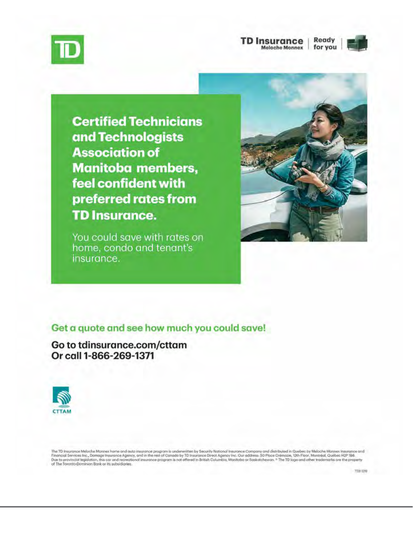

#### **TD Insurance** Ready Meloche Monnex for you



**Certified Technicians** and Technologists **Association of Manitoba members,** feel confident with preferred rates from **TD Insurance.** 

You could save with rates on home, condo and tenant's insurance.



### Get a quote and see how much you could save!

Go to tdinsurance.com/cttam Or call 1-866-269-1371



The TD Insurance Meloche Monnex hame and auta insurance program is underwritten by Security National Insurance Company and distributed in Quebec by Meloche Monnex Insurance and<br>Financial Services Inc., Domage Insurance Age

7730-3270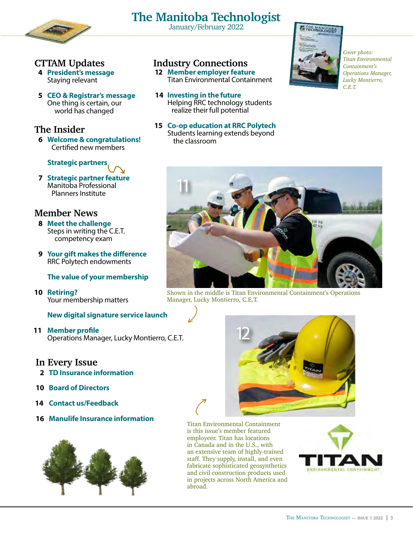

# **The Manitoba Technologist** January/February 2022

### **CTTAM Updates**

- **4 President's message** Staying relevant
- **5 CEO & Registrar's message** One thing is certain, our world has changed

### **The Insider**

**6 Welcome & congratulations!** Certified new members

### **Strategic partners**

**7 Strategic partners**<br> **7 Strategic partner feature** Manitoba Professional Planners Institute

### **Member News**

- **8 Meet the challenge** Steps in writing the C.E.T. competency exam
- **9 Your gift makes the difference** RRC Polytech endowments

### **The value of your membership**

**10 Retiring?** Your membership matters

### **New digital signature service launch**

**11 Member profile** Operations Manager, Lucky Montierro, C.E.T.

### **In Every Issue**

- **2 TD Insurance information**
- **10 Board of Directors**
- **14 Contact us/Feedback**
- **16 Manulife Insurance information**



### **Industry Connections**

- **12 Member employer feature** Titan Environmental Containment
- **14 Investing in the future** Helping RRC technology students realize their full potential
- **15 Co-op education at RRC Polytech** Students learning extends beyond the classroom



*Cover photo: Titan Environmental Containment's Operations Manager, Lucky Montierro, C.E.T.*



Shown in the middle is Titan Environmental Containment's Operations Manager, Lucky Montierro, C.E.T.



Titan Environmental Containment is this issue's member featured employeer. Titan has locations in Canada and in the U.S., with an extensive team of highly-trained staff. They supply, install, and even fabricate sophisticated geosynthetics and civil construction products used in projects across North America and abroad.

 $\mathcal{C}$ 

 $\int$ 

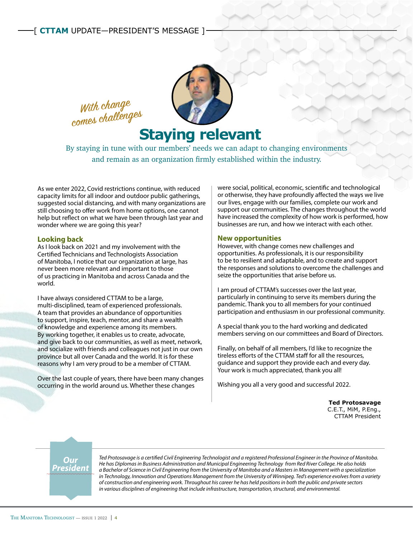



# **Staying relevant**

By staying in tune with our members' needs we can adapt to changing environments and remain as an organization firmly established within the industry.

As we enter 2022, Covid restrictions continue, with reduced capacity limits for all indoor and outdoor public gatherings, suggested social distancing, and with many organizations are still choosing to offer work from home options, one cannot help but reflect on what we have been through last year and wonder where we are going this year?

#### **Looking back**

As I look back on 2021 and my involvement with the Certified Technicians and Technologists Association of Manitoba, I notice that our organization at large, has never been more relevant and important to those of us practicing in Manitoba and across Canada and the world.

I have always considered CTTAM to be a large, multi-disciplined, team of experienced professionals. A team that provides an abundance of opportunities to support, inspire, teach, mentor, and share a wealth of knowledge and experience among its members. By working together, it enables us to create, advocate, and give back to our communities, as well as meet, network, and socialize with friends and colleagues not just in our own province but all over Canada and the world. It is for these reasons why I am very proud to be a member of CTTAM.

Over the last couple of years, there have been many changes occurring in the world around us. Whether these changes

were social, political, economic, scientific and technological or otherwise, they have profoundly affected the ways we live our lives, engage with our families, complete our work and support our communities. The changes throughout the world have increased the complexity of how work is performed, how businesses are run, and how we interact with each other.

#### **New opportunities**

However, with change comes new challenges and opportunities. As professionals, it is our responsibility to be to resilient and adaptable, and to create and support the responses and solutions to overcome the challenges and seize the opportunities that arise before us.

I am proud of CTTAM's successes over the last year, particularly in continuing to serve its members during the pandemic. Thank you to all members for your continued participation and enthusiasm in our professional community.

A special thank you to the hard working and dedicated members serving on our committees and Board of Directors.

Finally, on behalf of all members, I'd like to recognize the tireless efforts of the CTTAM staff for all the resources, guidance and support they provide each and every day. Your work is much appreciated, thank you all!

Wishing you all a very good and successful 2022.

**Ted Protosavage** C.E.T., MiM, P.Eng., CTTAM President

## *Our President*

*Ted Protosavage is a certified Civil Engineering Technologist and a registered Professional Engineer in the Province of Manitoba. He has Diplomas in Business Administration and Municipal Engineering Technology from Red River College. He also holds a Bachelor of Science in Civil Engineering from the University of Manitoba and a Masters in Management with a specialization in Technology, Innovation and Operations Management from the University of Winnipeg. Ted's experience evolves from a variety of construction and engineering work. Throughout his career he has held positions in both the public and private sectors in various disciplines of engineering that include infrastructure, transportation, structural, and environmental.*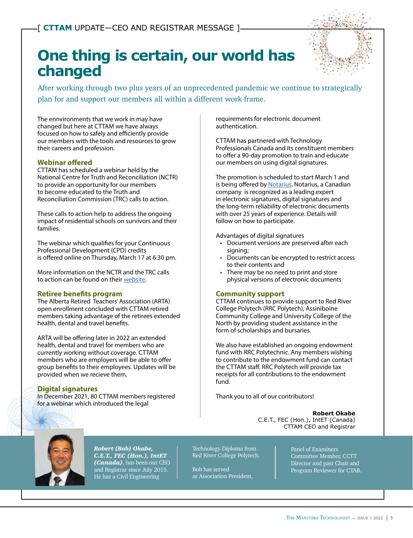# **One thing is certain, our world has changed**



After working through two plus years of an unprecedented pandemic we continue to strategically plan for and support our members all within a different work frame.

The ennvironments that we work in may have changed but here at CTTAM we have always focused on how to safely and efficiently provide our members with the tools and resources to grow their careers and profession.

#### **Webinar offered**

CTTAM has scheduled a webinar held by the National Centre for Truth and Reconciliation (NCTR) to provide an opportunity for our members to become educated to the Truth and Reconciliation Commission (TRC) calls to action.

These calls to action help to address the ongoing impact of residential schools on survivors and their families.

The webinar which qualifies for your Continuous Professional Development (CPD) credits is offered online on Thursday, March 17 at 6:30 pm.

More information on the NCTR and the TRC calls to action can be found on their [website.](https://www.rcaanc-cirnac.gc.ca/eng/1524494530110/1557511412801)

#### **Retiree benefits program**

The Alberta Retired Teachers' Association (ARTA) open enrollment concluded with CTTAM retired members taking advantage of the retirees extended health, dental and travel benefits.

ARTA will be offering later in 2022 an extended health, dental and travel for members who are currently working without coverage. CTTAM members who are employers will be able to offer group benefits to their employees. Updates will be provided when we recieve them.

#### **Digital signatures**

In December 2021, 80 CTTAM members registered for a webinar which introduced the legal

requirements for electronic document authentication.

CTTAM has partnered with Technology Professionals Canada and its constituent members to offer a 90-day promotion to train and educate our members on using digital signatures.

The promotion is scheduled to start March 1 and is being offered by [Notarius.](https://www.notarius.com/en/resources/about) Notarius, a Canadian company is recognized as a leading expert in electronic signatures, digital signatures and the long-term reliability of electronic documents with over 25 years of experience. Details will follow on how to participate.

Advantages of digital signatures

- Document versions are preserved after each signing;
- Documents can be encrypted to restrict access to their contents and
- There may be no need to print and store physical versions of electronic documents

#### **Community support**

CTTAM continues to provide support to Red River College Polytech (RRC Polytech), Assiniboine Community College and University College of the North by providing student assistance in the form of scholarships and bursaries.

We also have established an ongoing endowment fund with RRC Polytechnic. Any members wishing to contribute to the endowment fund can contact the CTTAM staff. RRC Polytech will provide tax receipts for all contributions to the endowment fund.

Thank you to all of our contributors!

**Robert Okabe** C.E.T., FEC (Hon.), IntET (Canada) CTTAM CEO and Registrar



*Robert (Bob) Okabe, C.E.T., FEC (Hon.), IntET (Canada)*, has been our CEO and Registrar since July 2015. He has a Civil Engineering

Technology Diploma from Red River College Polytech.

Bob has served as Association President, Panel of Examiners Committee Member, CCTT Director and past Chair and Program Reviewer for CTAB.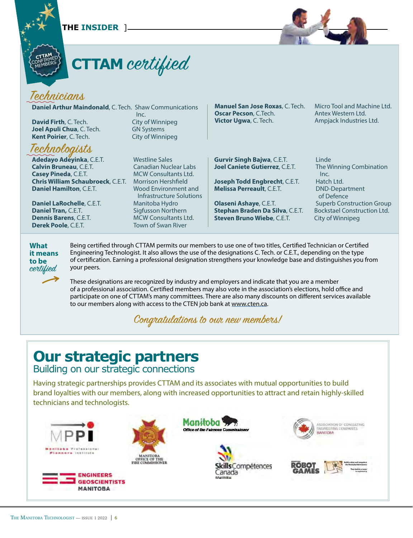[ **THE INSIDER** ]



# **CTTAM** certified

## Technicians

**CTTAM** CONFIRMED ONF HERS

**Daniel Arthur Maindonald**, C. Tech. Shaw Communications Inc. **David Firth**, C. Tech. City of Winnipeg **Joel Apuli Chua**, C. Tech. **GN Systems Kent Poirier**, C. Tech. City of Winnipeg

## Technologists

**Adedayo Adeyinka**, C.E.T. Westline Sales<br>**Calvin Bruneau**. C.E.T. Canadian Nuclear Labs **Calvin Bruneau, C.E.T.<br>Casev Pineda, C.E.T. Chris William Schaubroeck**, C.E.T.<br>Daniel Hamilton, C.E.T.

**Daniel LaRochelle**, C.E.T.<br>**Daniel Tran, C.E.T. Daniel Tran,** C.E.T. Sigfusson Northern<br> **Dennis Barens**. C.E.T. MCW Consultants Lt **Dennis Barens**, C.E.T. MCW Consultants Ltd.<br> **Derek Poole**. C.E.T. Town of Swan River

**MCW Consultants Ltd.**<br>Morrison Hershfield **Wood Environment and** Infrastructure Solutions<br>Manitoba Hydro **Town of Swan River** 

**Manuel San Jose Roxas**, C. Tech. Micro Tool and Machine Ltd. **Oscar Pecson**, C.Tech. **Antex Western Ltd. Victor Ugwa**, C. Tech. **Ampjack Industries Ltd.** 

**Gurvir Singh Bajwa**, C.E.T. Linde<br>**Joel Caniete Gutierrez**, C.E.T. The Winning Combination **Joel Caniete Gutierrez, C.E.T.** 

**Joseph Todd Engbrecht**, C.E.T. Hatch Ltd.<br>**Melissa Perreault**, C.E.T. DND-Department **Melissa Perreault**, C.E.T.

**Olaseni Ashaye**, C.E.T. Superb Construction Group<br>**Stephan Braden Da Silva**, C.E.T. Bockstael Construction Ltd. **Stephan Braden Da Silva, C.E.T.** Bockstael Construent Steven Bruno Wiebe, C.E.T. City of Winnipeg **Steven Bruno Wiebe, C.E.T.** 

Inc.<br>Hatch Ltd. of Defence



Being certified through CTTAM permits our members to use one of two titles, Certified Technician or Certified Engineering Technologist. It also allows the use of the designations C. Tech. or C.E.T., depending on the type of certification. Earning a professional designation strengthens your knowledge base and distinguishes you from your peers.

These designations are recognized by industry and employers and indicate that you are a member of a professional association. Certified members may also vote in the association's elections, hold office and participate on one of CTTAM's many committees. There are also many discounts on different services available to our members along with access to the CTEN job bank at [www.cten.ca](http://www.cten.ca).

Congratulations to our new members!

# **Our strategic partners**

Building on our strategic connections

Having strategic partnerships provides CTTAM and its associates with mutual opportunities to build brand loyalties with our members, along with increased opportunities to attract and retain highly-skilled technicians and technologists.

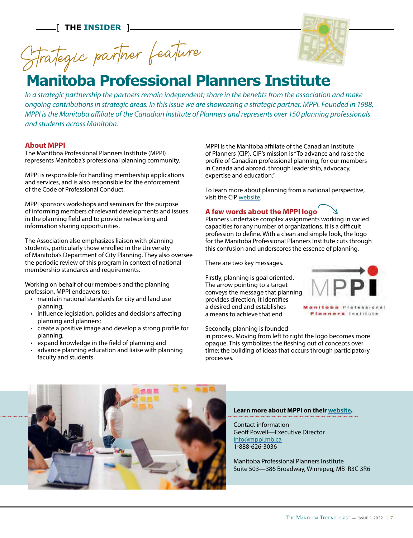[ **THE INSIDER** ]

Strategic partner feature



# **Manitoba Professional Planners Institute**

*In a strategic partnership the partners remain independent; share in the benefits from the association and make ongoing contributions in strategic areas. In this issue we are showcasing a strategic partner, MPPI. Founded in 1988, MPPI is the Manitoba affiliate of the Canadian Institute of Planners and represents over 150 planning professionals and students across Manitoba.*

#### **About MPPI**

The Manitboa Professional Planners Institute (MPPI) represents Manitoba's professional planning community.

MPPI is responsible for handling membership applications and services, and is also responsible for the enforcement of the Code of Professional Conduct.

MPPI sponsors workshops and seminars for the purpose of informing members of relevant developments and issues in the planning field and to provide networking and information sharing opportunities.

The Association also emphasizes liaison with planning students, particularly those enrolled in the University of Manitoba's Department of City Planning. They also oversee the periodic review of this program in context of national membership standards and requirements.

Working on behalf of our members and the planning profession, MPPI endeavors to:

- maintain national standards for city and land use planning;
- influence legislation, policies and decisions affecting planning and planners;
- create a positive image and develop a strong profile for planning;
- expand knowledge in the field of planning and
- advance planning education and liaise with planning faculty and students.

MPPI is the Manitoba affiliate of the Canadian Institute of Planners (CIP). CIP's mission is "To advance and raise the profile of Canadian professional planning, for our members in Canada and abroad, through leadership, advocacy, expertise and education."

To learn more about planning from a national perspective, visit the CIP [website](http://www.cip-icu.ca).

#### **A few words about the MPPI logo**

**A few words about the MPPI logo**<br>Planners undertake complex assignments working in varied capacities for any number of organizations. It is a difficult profession to define. With a clean and simple look, the logo for the Manitoba Professional Planners Institute cuts through this confusion and underscores the essence of planning.

There are two key messages.

Firstly, planning is goal oriented. The arrow pointing to a target conveys the message that planning provides direction; it identifies a desired end and establishes a means to achieve that end.

Secondly, planning is founded

in process. Moving from left to right the logo becomes more opaque. This symbolizes the fleshing out of concepts over time; the building of ideas that occurs through participatory processes.



lanners Institute



#### **Learn more about MPPI on their [website](http://www.mppi.mb.ca/index.asp).**

Contact information Geoff Powell—Executive Director [info@mppi.mb.ca](mailto:info%40mppi.mb.ca?subject=) 1-888-626-3036

Manitoba Professional Planners Institute Suite 503—386 Broadway, Winnipeg, MB R3C 3R6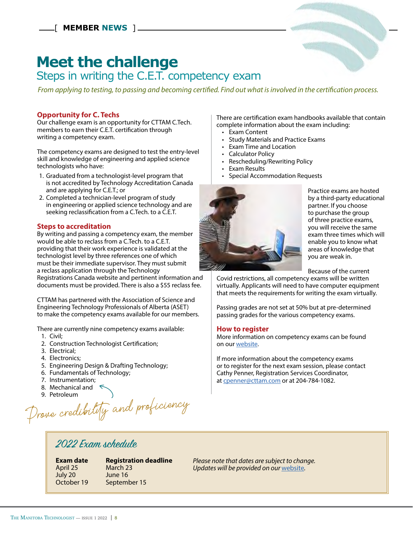# **Meet the challenge**

## Steps in writing the C.E.T. competency exam

*From applying to testing, to passing and becoming certified. Find out what is involved in the certification process.*

#### **Opportunity for C. Techs**

Our challenge exam is an opportunity for CTTAM C.Tech. members to earn their C.E.T. certification through writing a competency exam.

The competency exams are designed to test the entry-level skill and knowledge of engineering and applied science technologists who have:

- 1. Graduated from a technologist-level program that is not accredited by Technology Accreditation Canada and are applying for C.E.T.; or
- 2. Completed a technician-level program of study in engineering or applied science technology and are seeking reclassification from a C.Tech. to a C.E.T.

#### **Steps to accreditation**

By writing and passing a competency exam, the member would be able to reclass from a C.Tech. to a C.E.T. providing that their work experience is validated at the technologist level by three references one of which must be their immediate supervisor. They must submit a reclass application through the Technology Registrations Canada website and pertinent information and

documents must be provided. There is also a \$55 reclass fee.

CTTAM has partnered with the Association of Science and Engineering Technology Professionals of Alberta (ASET) to make the competency exams available for our members.

There are currently nine competency exams available:

- 1. Civil;
- 2. Construction Technologist Certification;
- 3. Electrical;
- 4. Electronics;
- 5. Engineering Design & Drafting Technology;
- 6. Fundamentals of Technology;
- 7. Instrumentation;
- 8. Mechanical and \
- 9. Petroleum

Prove credibility and proficiency  $\bigcirc$ 

There are certification exam handbooks available that contain complete information about the exam including:

- Exam Content
- Study Materials and Practice Exams
- Exam Time and Location
- Calculator Policy
- Rescheduling/Rewriting Policy
- Exam Results
- Special Accommodation Requests



Practice exams are hosted by a third-party educational partner. If you choose to purchase the group of three practice exams, you will receive the same exam three times which will enable you to know what areas of knowledge that you are weak in.

Because of the current

Covid restrictions, all competency exams will be written virtually. Applicants will need to have computer equipment that meets the requirements for writing the exam virtually.

Passing grades are not set at 50% but at pre-determined passing grades for the various competency exams.

#### **How to register**

More information on competency exams can be found on our [website.](https://bit.ly/3L06x9A)

If more information about the competency exams or to register for the next exam session, please contact Cathy Penner, Registration Services Coordinator, at [cpenner@cttam.com](mailto:cpenner%40cttam.com?subject=) or at 204-784-1082.

## 2022 Exam schedule

April 25 March 23 July 20 June 16

**Exam date Registration deadline** October 19 September 15

*Please note that dates are subject to change. Updates will be provided on our* [website](https://bit.ly/3L06x9A)*.*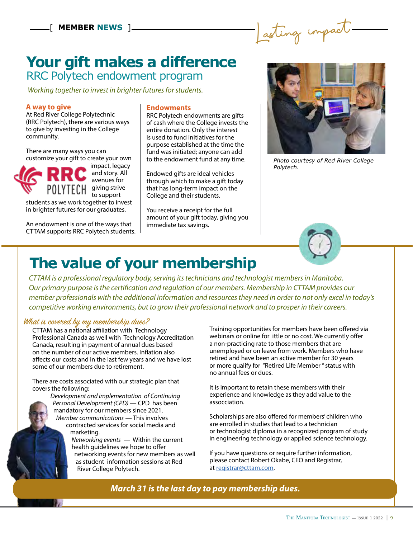Lasting impact

## **Your gift makes a difference** RRC Polytech endowment program

*Working together to invest in brighter futures for students.*

#### **A way to give**

At Red River College Polytechnic (RRC Polytech), there are various ways to give by investing in the College community.

There are many ways you can customize your gift to create your own



 impact, legacy and story. All avenues for to support

students as we work together to invest in brighter futures for our graduates.

An endowment is one of the ways that CTTAM supports RRC Polytech students.

#### **Endowments**

RRC Polytech endowments are gifts of cash where the College invests the entire donation. Only the interest is used to fund initiatives for the purpose established at the time the fund was initiated; anyone can add to the endowment fund at any time.

Endowed gifts are ideal vehicles through which to make a gift today that has long-term impact on the College and their students.

You receive a receipt for the full amount of your gift today, giving you immediate tax savings.



*Photo courtesy of Red River College Polytech.*



# **The value of your membership**

*CTTAM is a professional regulatory body, serving its technicians and technologist members in Manitoba. Our primary purpose is the certification and regulation of our members. Membership in CTTAM provides our member professionals with the additional information and resources they need in order to not only excel in today's competitive working environments, but to grow their professional network and to prosper in their careers.* 

## What is covered by my membership dues?

CTTAM has a national affiliation with Technology Professional Canada as well with Technology Accreditation Canada, resulting in payment of annual dues based on the number of our active members. Inflation also affects our costs and in the last few years and we have lost some of our members due to retirement.

There are costs associated with our strategic plan that covers the following:

> *Development and implementation of Continuing Personal Development (CPD)* — CPD has been mandatory for our members since 2021. *Member communications* — This involves contracted services for social media and marketing. *Networking events* — Within the current health guidelines we hope to offer

 networking events for new members as well as student information sessions at Red River College Polytech.

Training opportunities for members have been offered via webinars or online for ittle or no cost. We currently offer a non-practicing rate to those members that are unemployed or on leave from work. Members who have retired and have been an active member for 30 years or more qualify for "Retired Life Member " status with no annual fees or dues.

It is important to retain these members with their experience and knowledge as they add value to the assocciation.

Scholarships are also offered for members' children who are enrolled in studies that lead to a technician or technologist diploma in a recognized program of study in engineering technology or applied science technology.

If you have questions or require further information, please contact Robert Okabe, CEO and Registrar, at [registrar@cttam.com.](mailto:registrar%40cttam.com?subject=)

*March 31 is the last day to pay membership dues.*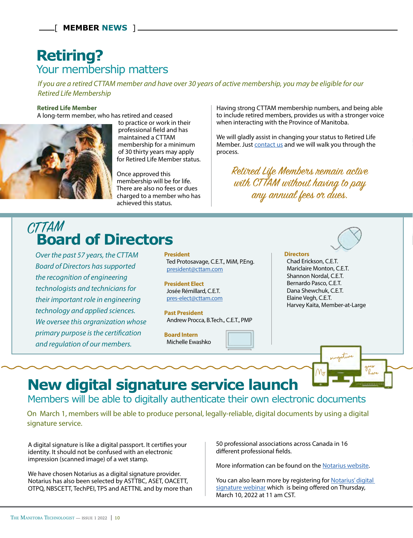# **Retiring?** Your membership matters

*If you are a retired CTTAM member and have over 30 years of active membership, you may be eligible for our Retired Life Membership*

#### **Retired Life Member**

A long-term member, who has retired and ceased



 to practice or work in their professional field and has maintained a CTTAM membership for a minimum of 30 thirty years may apply for Retired Life Member status.

 Once approved this membership will be for life. There are also no fees or dues charged to a member who has achieved this status.

# **Board of Directors**

*Over the past 57 years, the CTTAM Board of Directors has supported the recognition of engineering technologists and technicians for their important role in engineering technology and applied sciences. We oversee this orgranization whose primary purpose is the certification and regulation of our members.*

**President** Ted Protosavage, C.E.T., MiM, P.Eng. [president@cttam.com](mailto:president%40cttam.com?subject=)

**President Elect** Josée Rémillard, C.E.T. [pres-elect@cttam.com](mailto:pres-elect%40cttam.com?subject=)

**Past President** Andrew Procca, B.Tech., C.E.T., PMP

**Board Intern** Michelle Ewashko

Having strong CTTAM membership numbers, and being able to include retired members, provides us with a stronger voice when interacting with the Province of Manitoba.

We will gladly assist in changing your status to Retired Life Member. Just [contact us](https://cttam.com/Public/About_CTTAM/Public/About_CTTAM/What_is_CTTAM.aspx?hkey=84ec1ab5-947e-4641-af79-1e427e487544) and we will walk you through the process.

Retired Life Members remain active with CTTAM without having to pay any annual fees or dues.



 Chad Erickson, C.E.T. Mariclaire Monton, C.E.T. Shannon Nordal, C.E.T. Bernardo Pasco, C.E.T. Dana Shewchuk, C.E.T. Elaine Vegh, C.E.T. Harvey Kaita, Member-at-Large



# **New digital signature service launch**

Members will be able to digitally authenticate their own electronic documents

On March 1, members will be able to produce personal, legally-reliable, digital documents by using a digital signature service.

A digital signature is like a digital passport. It certifies your identity. It should not be confused with an electronic impression (scanned image) of a wet stamp.

We have chosen Notarius as a digital signature provider. Notarius has also been selected by ASTTBC, ASET, OACETT, OTPQ, NBSCETT, TechPEI, TPS and AETTNL and by more than 50 professional associations across Canada in 16 different professional fields.

More information can be found on the [Notarius website.](https://www.notarius.com/en/)

You can also learn more by registering for Notarius' digital [signature webinar](https://register.gotowebinar.com/register/6238447977558221071) which is being offered on Thursday, March 10, 2022 at 11 am CST.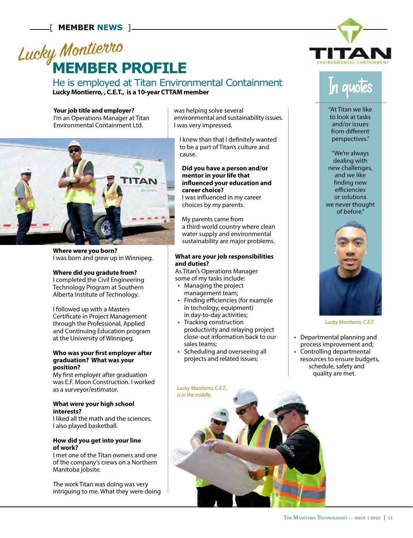# **MEMBER PROFILE** Lucky Montierro

He is employed at Titan Environmental Containment **Lucky Montierro, , C.E.T., is a 10-year CTTAM member**

**Your job title and employer?** I'm an Operations Manager at Titan Environmental Containment Ltd.



**Where were you born?**  I was born and grew up in Winnipeg.

#### **Where did you gradute from?**

I completed the Civil Engineering Technology Program at Southern Alberta Institute of Technology.

I followed up with a Masters Certificate in Project Management through the Professional, Applied and Continuing Education program at the University of Winnipeg.

#### **Who was your first employer after graduation? What was your position?**

My first employer after graduation was E.F. Moon Construction. I worked as a surveyor/estimator.

#### **What were your high school interests?**

I liked all the math and the sciences. I also played basketball.

#### **How did you get into your line of work?**

I met one of the Titan owners and one of the company's crews on a Northern Manitoba jobsite.

The work Titan was doing was very intriguing to me. What they were doing was helping solve several environmental and sustainability issues. I was very impressed.

 I knew than that I definitely wanted to be a part of Titan's culture and cause.

#### **Did you have a person and/or mentor in your life that influenced your education and career choice?**

I was influenced in my career choices by my parents.

My parents came from a third-world country where clean water supply and environmental sustainability are major problems.

#### **What are your job responsibilities and duties?**

As Titan's Operations Manager some of my tasks include:

- Managing the project management team;
- Finding efficiencies (for example in techology, equipment) in day-to-day activities;
- Tracking construction productivity and relaying project close-out information back to our sales teams;
- Scheduling and overseeing all projects and related issues;





"At Titan we like to look at tasks and/or issues from different perspectives."

"We're always dealing with new challenges, and we like finding new efficiencies or solutions we never thought of before."



*Lucky Montierro, C.E.T.* 

- Departmental planning and process improvement and;
- Controlling departmental resources to ensure budgets, schedule, safety and quality are met.

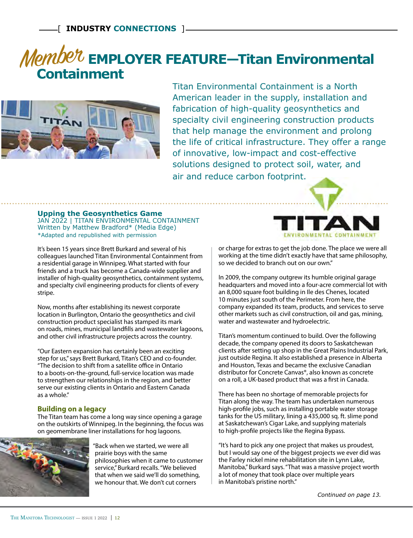# Member EMPLOYER FEATURE-Titan Environmental **Containment**



Titan Environmental Containment is a North American leader in the supply, installation and fabrication of high-quality geosynthetics and specialty civil engineering construction products that help manage the environment and prolong the life of critical infrastructure. They offer a range of innovative, low-impact and cost-effective solutions designed to protect soil, water, and air and reduce carbon footprint.

#### **Upping the Geosynthetics Game**

JAN 2022 | TITAN ENVIRONMENTAL CONTAINMENT Written by Matthew Bradford\* (Media Edge) \*Adapted and republished with permission

It's been 15 years since Brett Burkard and several of his colleagues launched Titan Environmental Containment from a residential garage in Winnipeg. What started with four friends and a truck has become a Canada-wide supplier and installer of high-quality geosynthetics, containment systems, and specialty civil engineering products for clients of every stripe.

Now, months after establishing its newest corporate location in Burlington, Ontario the geosynthetics and civil construction product specialist has stamped its mark on roads, mines, municipal landfills and wastewater lagoons, and other civil infrastructure projects across the country.

"Our Eastern expansion has certainly been an exciting step for us," says Brett Burkard, Titan's CEO and co-founder. "The decision to shift from a satellite office in Ontario to a boots-on-the-ground, full-service location was made to strengthen our relationships in the region, and better serve our existing clients in Ontario and Eastern Canada as a whole."

#### **Building on a legacy**

The Titan team has come a long way since opening a garage on the outskirts of Winnipeg. In the beginning, the focus was on geomembrane liner installations for hog lagoons.



 "Back when we started, we were all prairie boys with the same philosophies when it came to customer service," Burkard recalls. "We believed that when we said we'll do something, we honour that. We don't cut corners



or charge for extras to get the job done. The place we were all working at the time didn't exactly have that same philosophy, so we decided to branch out on our own."

In 2009, the company outgrew its humble original garage headquarters and moved into a four-acre commercial lot with an 8,000 square foot building in Ile des Chenes, located 10 minutes just south of the Perimeter. From here, the company expanded its team, products, and services to serve other markets such as civil construction, oil and gas, mining, water and wastewater and hydroelectric.

Titan's momentum continued to build. Over the following decade, the company opened its doors to Saskatchewan clients after setting up shop in the Great Plains Industrial Park, just outside Regina. It also established a presence in Alberta and Houston, Texas and became the exclusive Canadian distributor for Concrete Canvas®, also known as concrete on a roll, a UK-based product that was a first in Canada.

There has been no shortage of memorable projects for Titan along the way. The team has undertaken numerous high-profile jobs, such as installing portable water storage tanks for the US military, lining a 435,000 sq. ft. slime pond at Saskatchewan's Cigar Lake, and supplying materials to high-profile projects like the Regina Bypass.

"It's hard to pick any one project that makes us proudest, but I would say one of the biggest projects we ever did was the Farley nickel mine rehabilitation site in Lynn Lake, Manitoba," Burkard says. "That was a massive project worth a lot of money that took place over multiple years in Manitoba's pristine north."

*Continued on page 13.*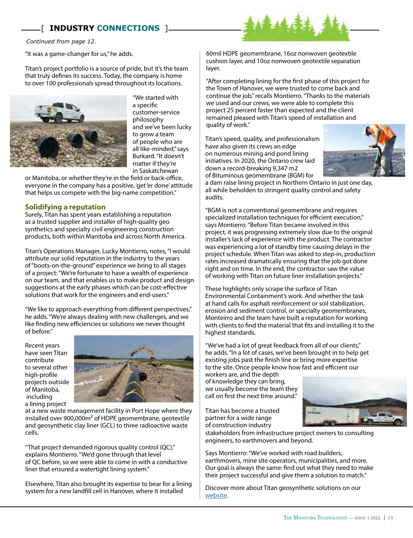### [ **INDUSTRY CONNECTIONS** ]

*Continued from page 12.*

"It was a game-changer for us," he adds.

Titan's project portfolio is a source of pride, but it's the team that truly defines its success. Today, the company is home to over 100 professionals spread throughout its locations.



"We started with a specific customer-service philosophy and we've been lucky to grow a team of people who are all like-minded," says Burkard. "It doesn't matter if they're in Saskatchewan

or Manitoba, or whether they're in the field or back-office, everyone in the company has a positive, 'get 'er done' attitude that helps us compete with the big-name competition."

#### **Solidifying a reputation**

Surely, Titan has spent years establishing a reputation as a trusted supplier and installer of high-quality geo synthetics and specialty civil engineering construction products, both within Manitoba and across North America.

Titan's Operations Manager, Lucky Montierro, notes, "I would attribute our solid reputation in the industry to the years of "boots-on-the-ground" experience we bring to all stages of a project: "We're fortunate to have a wealth of experience on our team, and that enables us to make product and design suggestions at the early phases which can be cost-effective solutions that work for the engineers and end-users."

"We like to approach everything from different perspectives," he adds. "We're always dealing with new challenges, and we like finding new efficiencies or solutions we never thought of before."

Recent years have seen Titan contribute to several other high-profile projects outside of Manitoba, including a lining project



at a new waste management facility in Port Hope where they installed over 900,000m² of HDPE geomembrane, geotextile and geosynthetic clay liner (GCL) to three radioactive waste cells.

"That project demanded rigorous quality control (QC)," explains Montierro. "We'd gone through that level of QC before, so we were able to come in with a conductive liner that ensured a watertight lining system."

Elsewhere, Titan also brought its expertise to bear for a lining system for a new landfill cell in Hanover, where it installed



"After completing lining for the first phase of this project for the Town of Hanover, we were trusted to come back and continue the job," recalls Montierro. "Thanks to the materials we used and our crews, we were able to complete this project 25 percent faster than expected and the client remained pleased with Titan's speed of installation and quality of work."

Titan's speed, quality, and professionalism have also given its crews an edge on numerous mining and pond lining initiatives. In 2020, the Ontario crew laid down a record-breaking 9,347 m2 of Bituminous geomembrane (BGM) for



a dam raise lining project in Northern Ontario in just one day, all while beholden to stringent quality control and safety audits.

"BGM is not a conventional geomembrane and requires specialized installation techniques for efficient execution," says Montierro. "Before Titan became involved in this project, it was progressing extremely slow due to the original installer's lack of experience with the product. The contractor was experiencing a lot of standby time causing delays in the project schedule. When Titan was asked to step-in, production rates increased dramatically ensuring that the job got done right and on time. In the end, the contractor saw the value of working with Titan on future liner installation projects."

These highlights only scrape the surface of Titan Environmental Containment's work. And whether the task at hand calls for asphalt reinforcement or soil stabilization, erosion and sediment control, or specialty geomembranes, Monteirro and the team have built a reputation for working with clients to find the material that fits and installing it to the highest standards.

"We've had a lot of great feedback from all of our clients," he adds. "In a lot of cases, we've been brought in to help get existing jobs past the finish line or bring more expertise to the site. Once people know how fast and efficient our

workers are, and the depth of knowledge they can bring, we usually become the team they call on first the next time around."

Titan has become a trusted partner for a wide range of construction industry



stakeholders from infrastructure project owners to consulting engineers, to earthmovers and beyond.

Says Montierro: "We've worked with road builders, earthmovers, mine site operators, municipalities, and more. Our goal is always the same: find out what they need to make their project successful and give them a solution to match."

Discover more about Titan geosynthetic solutions on our [website](https://titanenviro.com/).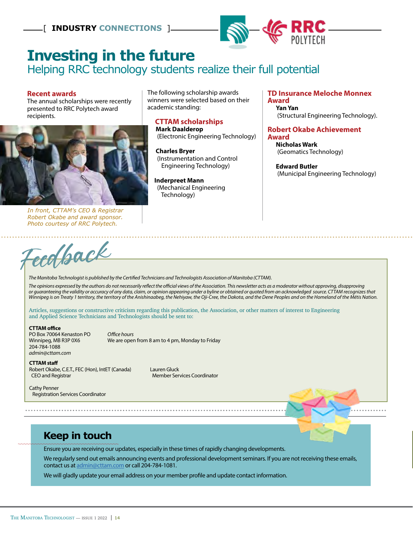

# **Investing in the future**

Helping RRC technology students realize their full potential

#### **Recent awards**

The annual scholarships were recently presented to RRC Polytech award recipients.



*In front, CTTAM's CEO & Registrar Robert Okabe and award sponsor. Photo courtesy of RRC Polytech.*

The following scholarship awards winners were selected based on their academic standing:

#### **CTTAM scholarships Mark Daalderop**

(Electronic Engineering Technology)

 **Charles Bryer**  (Instrumentation and Control Engineering Technology)

 **Inderpreet Mann**  (Mechanical Engineering Technology)

#### **TD Insurance Meloche Monnex Award Yan Yan**

(Structural Engineering Technology).

**Robert Okabe Achievement Award**

 **Nicholas Wark**  (Geomatics Technology)

 **Edward Butler**  (Municipal Engineering Technology)

Feed **And CR**<br>The Manitoba Technologist is published by the Certified Technicians and Technologists Association of Manitoba (CTTAM).

The opinions expressed by the authors do not necessarily reflect the official views of the Association. This newsletter acts as a moderator without approving, disapproving *or guaranteeing the validity or accuracy of any data, claim, or opinion appearing under a byline or obtained or quoted from an acknowledged source. CTTAM recognizes that Winnipeg is on Treaty 1 territory, the territory of the Anishinaabeg, the Nehiyaw, the Oji-Cree, the Dakota, and the Dene Peoples and on the Homeland of the Métis Nation.*

Articles, suggestions or constructive criticism regarding this publication, the Association, or other matters of interest to Engineering and Applied Science Technicians and Technologists should be sent to:

#### **CTTAM office**

PO Box 70064 Kenaston PO *Office hours* 204-784-1088 *admin@cttam.com*

We are open from 8 am to 4 pm, Monday to Friday

#### **CTTAM staff**

Robert Okabe, C.E.T., FEC (Hon), IntET (Canada) Lauren Gluck CEO and Registrar Member Services Coordinator

Cathy Penner Registration Services Coordinator

## **Keep in touch**

Ensure you are receiving our updates, especially in these times of rapidly changing developments.

We regularly send out emails announcing events and professional development seminars. If you are not receiving these emails, contact us at admin@cttam.com or call 204-784-1081.

We will gladly update your email address on your member profile and update contact information.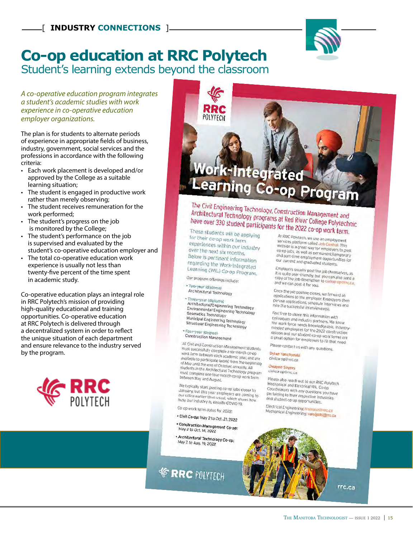

## **Co-op education at RRC Polytech** Student's learning extends beyond the classroom

#### *A co-operative education program integrates a student's academic studies with work experience in co-operative education employer organizations.*

The plan is for students to alternate periods of experience in appropriate fields of business, industry, government, social services and the professions in accordance with the following criteria:

- Each work placement is developed and/or approved by the College as a suitable learning situation;
- The student is engaged in productive work rather than merely observing;
- The student receives remuneration for the work performed;
- The student's progress on the job is monitored by the College;
- The student's performance on the job is supervised and evaluated by the student's co-operative education employer and
- The total co-operative education work experience is usually not less than twenty-five percent of the time spent in academic study.

Co-operative education plays an integral role in RRC Polytech's mission of providing high-quality educational and training opportunities. Co-operative education at RRC Polytech is delivered through a decentralized system in order to reflect the unique situation of each department and ensure relevance to the industry served by the program.



# ork-Integrated **Learning Co-op Program**

The Civil Engineering Technology, Construction Management and Architectural Technology, Construction Management and<br>Architectural Technology programs at Red River College Polytechnic<br>have over 330 student participants for the 2022 co.org have over 330 student participants for the 2022 co-op work term.

These students will be applying for their co-op work term experiences within our industry over the next six months, Below is pertinent information regarding the Work-Integrated<br>Learning (WIL) C Learning (WIL) Co-op Program.

Our program offerings include:

POIYTECH

\* Two-year (diploma) Architectural Technology

#### · Three-year (diploma)

Architectural/Engineering Technology Architectural/Engineering Technology<br>Environmental Engineering Technology<br>Geomatics Technology Geomatics Technology Municipal Engineering Technology Structural Engineering Technology

\* Four-year (degree) Construction Management

All Civil and Construction Management students meeting and Construction Management studen<br>must successfully complete a six-month co-op<br>work term between each academic ... must successfully complete a six-month co-op<br>work term between each academic year, and are<br>available to participate (work) from the available to participate (work) from the beginning<br>of May until the end of October and the beginning available to participate (work) from the begin<br>of May until the end of October, annually, All<br>students in the Architectural Technology, All or may until the end of October, annually, All<br>students in the Architectural Technology program<br>must complete one four-month coco was statents in the Architectural Technology program<br>must complete one four-month co-op work term<br>between May and August. between May and August.

We typically start posting co-op jobs closer to<br>January, but this year employers are The typically start posting co-op jobs closer to<br>January, but this year employers are conring to<br>our office earlier than usual, which shows to our office earlier than usual, which shows how<br>busy our industry is, despite COVID shows how busy our industry is, despite COVID-19.

Co-op work term dates for 2022:

- . Civil Co-op: May 2 to Oct. 21, 2022
- \* Construction Management Co-op:<br>May 2 to Oct. 14 2022 May 2 to Oct. 14, 2022

\* Architectural Technology Co-op:<br>May 2 to Aug. 19, 2022 May 2 to Aug. 19, 2022

**ERRC** POLYTECH

At RRC Polytech, we use an employment services platform called Job Central. This vervices platform called Job Central. This<br>website is a great way for employers to post<br>co-op jobs, as well as permanent for co-op jobs, as well as permanent/temporary<br>and part-time employment opportunity and part-time employment opportunities for our current and graduated students.

Employers usually post the job themselves, as<br>it is quite user-friendly, but you can the provers usually post the job themselves, as<br>it is quite user-friendly, but you can also send a

copy of the job description to civilco-op and we can post it for you. Once the job posting closes, we forward all<br>applications to the employer F

once the job posting closes, we forward all<br>applications to the employer. Employers then<br>peruse applications, schedule intensity oppications to the employer. Employers then<br>peruse applications, schedule interviews and<br>hire the successful interviews at hire the successful interviewee(s).

Feel free to share this information with reer ree to share this information with<br>colleagues and industry partners, We know tomeagues and industry partners. We know<br>the work force needs knowledgeable, industry-<br>minded employees for the 2022 constitution minded employees for the 2022 construction<br>season and our student co-op work terms are<br>a great option for employers to the stress are a great option for employers to fill that need.

Please contact us with any questions.

Dylan Yanchynski civilco-op@rrc.ca

Dwayne Sayers

civilco-op@rrc.ca

Please also reach out to our RRC Polytech Mechanical and Electrical WIL Co-op mechanical and Electrical WIL Co-op<br>Coordinators with any questions you have Destainators with any questions you hay<br>pertaining to their respective industries and student co-op opportunities.

Electrical Engineering: hnorouzi Mechanical Engineering: hnorouzl@rrc.ca